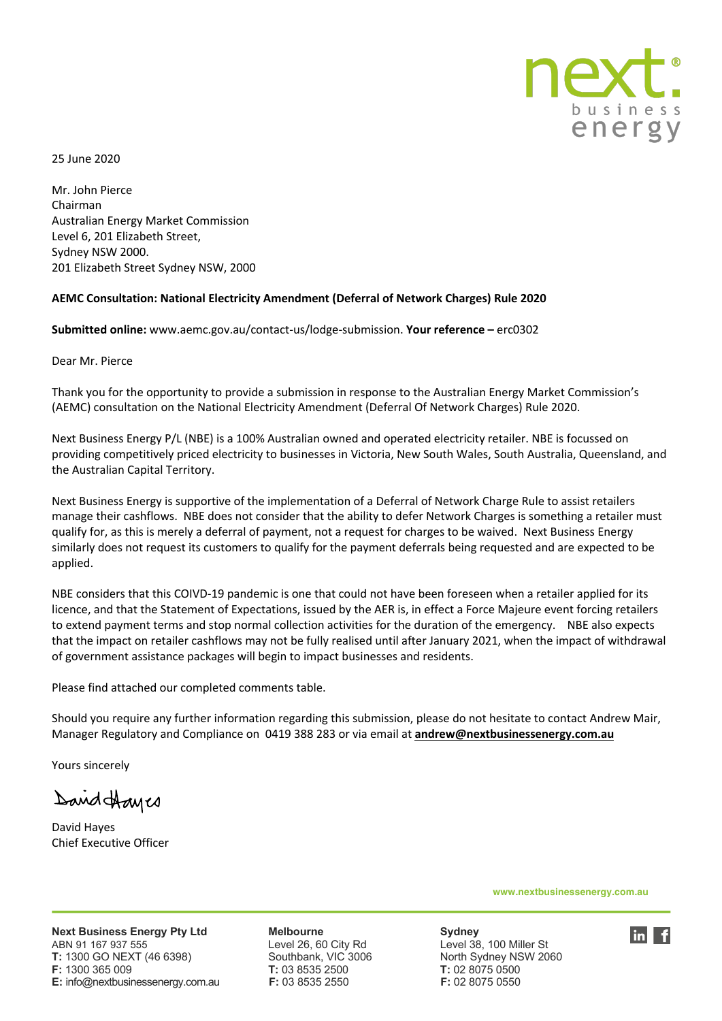

25 June 2020

Mr. John Pierce Chairman Australian Energy Market Commission Level 6, 201 Elizabeth Street, Sydney NSW 2000. 201 Elizabeth Street Sydney NSW, 2000

#### **AEMC Consultation: National Electricity Amendment (Deferral of Network Charges) Rule 2020**

**Submitted online:** www.aemc.gov.au/contact-us/lodge-submission. **Your reference –** erc0302

Dear Mr. Pierce

Thank you for the opportunity to provide a submission in response to the Australian Energy Market Commission's (AEMC) consultation on the National Electricity Amendment (Deferral Of Network Charges) Rule 2020.

Next Business Energy P/L (NBE) is a 100% Australian owned and operated electricity retailer. NBE is focussed on providing competitively priced electricity to businesses in Victoria, New South Wales, South Australia, Queensland, and the Australian Capital Territory.

Next Business Energy is supportive of the implementation of a Deferral of Network Charge Rule to assist retailers manage their cashflows. NBE does not consider that the ability to defer Network Charges is something a retailer must qualify for, as this is merely a deferral of payment, not a request for charges to be waived. Next Business Energy similarly does not request its customers to qualify for the payment deferrals being requested and are expected to be applied.

NBE considers that this COIVD-19 pandemic is one that could not have been foreseen when a retailer applied for its licence, and that the Statement of Expectations, issued by the AER is, in effect a Force Majeure event forcing retailers to extend payment terms and stop normal collection activities for the duration of the emergency. NBE also expects that the impact on retailer cashflows may not be fully realised until after January 2021, when the impact of withdrawal of government assistance packages will begin to impact businesses and residents.

Please find attached our completed comments table.

Should you require any further information regarding this submission, please do not hesitate to contact Andrew Mair, Manager Regulatory and Compliance on 0419 388 283 or via email at **andrew@nextbusinessenergy.com.au**

Yours sincerely

David Hayes

David Hayes Chief Executive Officer

**www.nextbusinessenergy.com.au**

**Next Business Energy Pty Ltd Melbourne Melbourge Sydney<br>ABN 91 167 937 555 Level 26, 60 City Rd Level 38** ABN 91 167 937 555 Level 26, 60 City Rd Level 38, 100 Miller St **T:** 1300 GO NEXT (46 6398) Southbank, VIC 3006 North Sydney NSW 2060 **F:** 1300 365 009 **T:** 03 8535 2500 **T:** 02 8075 0500 **E:** info@nextbusinessenergy.com.au **F:** 03 8535 2550 **F:** 02 8075 0550 

 $\ln$  f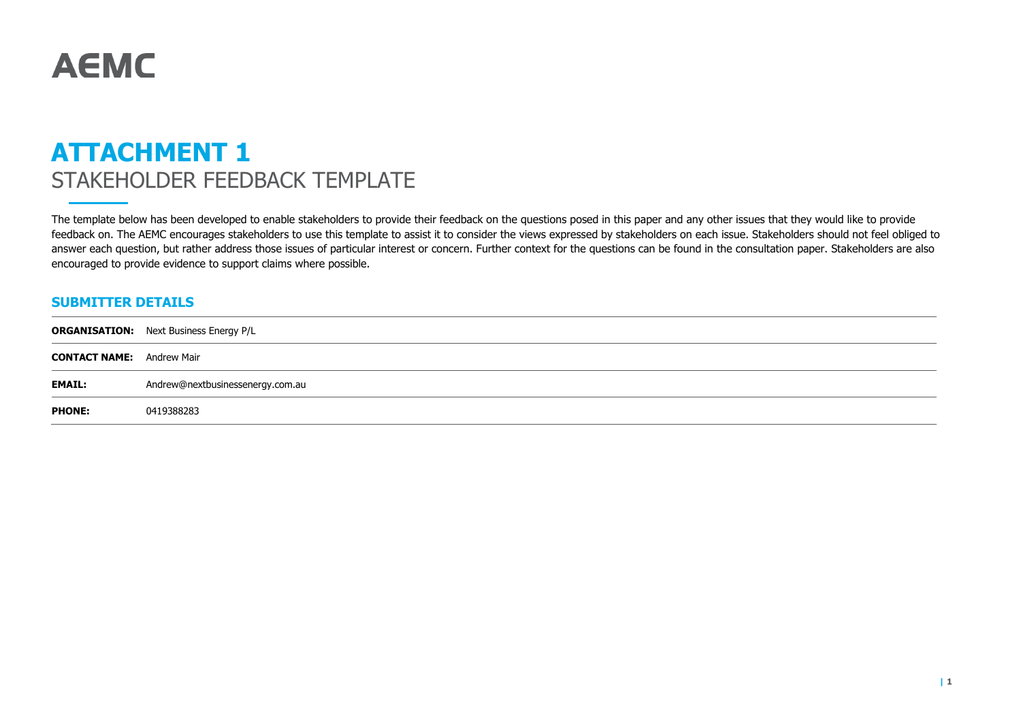# **AEMC**

# **ATTACHMENT 1** STAKEHOLDER FEEDBACK TEMPLATE

The template below has been developed to enable stakeholders to provide their feedback on the questions posed in this paper and any other issues that they would like to provide feedback on. The AEMC encourages stakeholders to use this template to assist it to consider the views expressed by stakeholders on each issue. Stakeholders should not feel obliged to answer each question, but rather address those issues of particular interest or concern. Further context for the questions can be found in the consultation paper. Stakeholders are also encouraged to provide evidence to support claims where possible.

#### **SUBMITTER DETAILS**

|                                  | <b>ORGANISATION:</b> Next Business Energy P/L |
|----------------------------------|-----------------------------------------------|
| <b>CONTACT NAME:</b> Andrew Mair |                                               |
| <b>EMAIL:</b>                    | Andrew@nextbusinessenergy.com.au              |
| <b>PHONE:</b>                    | 0419388283                                    |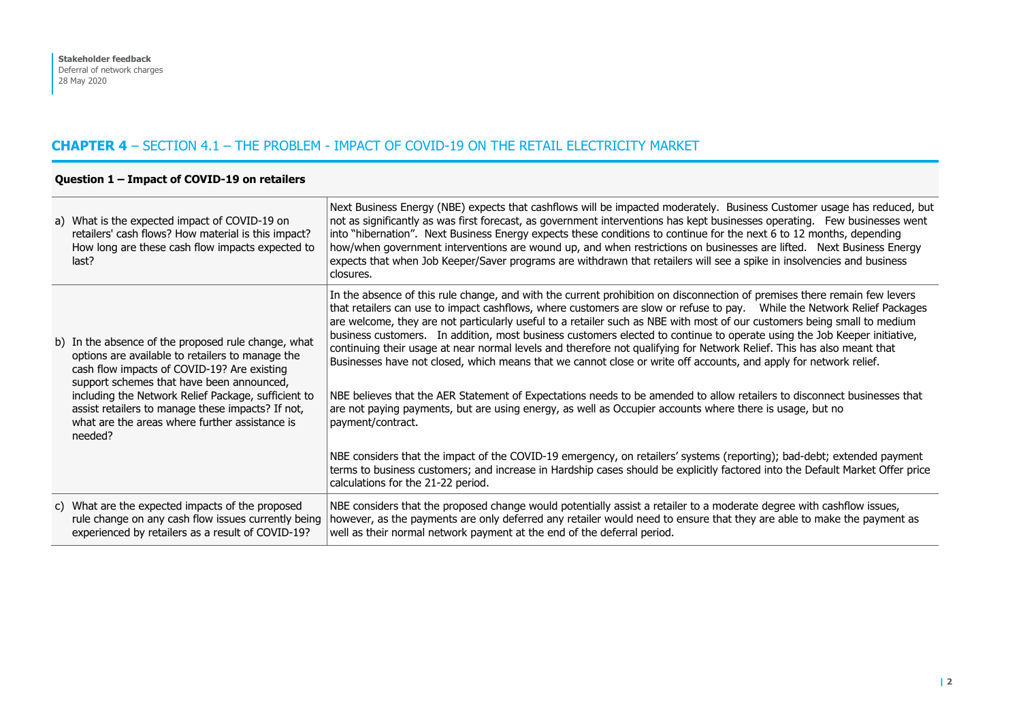#### **CHAPTER 4** – SECTION 4.1 – THE PROBLEM - IMPACT OF COVID-19 ON THE RETAIL ELECTRICITY MARKET

| a) What is the expected impact of COVID-19 on<br>retailers' cash flows? How material is this impact?<br>How long are these cash flow impacts expected to<br>last?                                                                                                                                                                                                 | Next Business Energy (NBE) expects that cashflows will be impacted moderately. Business Customer usage has reduced, but<br>not as significantly as was first forecast, as government interventions has kept businesses operating. Few businesses went<br>into "hibernation". Next Business Energy expects these conditions to continue for the next 6 to 12 months, depending<br>how/when government interventions are wound up, and when restrictions on businesses are lifted. Next Business Energy<br>expects that when Job Keeper/Saver programs are withdrawn that retailers will see a spike in insolvencies and business<br>closures.                                                                                                                                                                                                                                                                                                                                                                               |
|-------------------------------------------------------------------------------------------------------------------------------------------------------------------------------------------------------------------------------------------------------------------------------------------------------------------------------------------------------------------|----------------------------------------------------------------------------------------------------------------------------------------------------------------------------------------------------------------------------------------------------------------------------------------------------------------------------------------------------------------------------------------------------------------------------------------------------------------------------------------------------------------------------------------------------------------------------------------------------------------------------------------------------------------------------------------------------------------------------------------------------------------------------------------------------------------------------------------------------------------------------------------------------------------------------------------------------------------------------------------------------------------------------|
| b) In the absence of the proposed rule change, what<br>options are available to retailers to manage the<br>cash flow impacts of COVID-19? Are existing<br>support schemes that have been announced,<br>including the Network Relief Package, sufficient to<br>assist retailers to manage these impacts? If not,<br>what are the areas where further assistance is | In the absence of this rule change, and with the current prohibition on disconnection of premises there remain few levers<br>that retailers can use to impact cashflows, where customers are slow or refuse to pay.  While the Network Relief Packages<br>are welcome, they are not particularly useful to a retailer such as NBE with most of our customers being small to medium<br>business customers. In addition, most business customers elected to continue to operate using the Job Keeper initiative,<br>continuing their usage at near normal levels and therefore not qualifying for Network Relief. This has also meant that<br>Businesses have not closed, which means that we cannot close or write off accounts, and apply for network relief.<br>NBE believes that the AER Statement of Expectations needs to be amended to allow retailers to disconnect businesses that<br>are not paying payments, but are using energy, as well as Occupier accounts where there is usage, but no<br>payment/contract. |
| needed?                                                                                                                                                                                                                                                                                                                                                           | NBE considers that the impact of the COVID-19 emergency, on retailers' systems (reporting); bad-debt; extended payment<br>terms to business customers; and increase in Hardship cases should be explicitly factored into the Default Market Offer price<br>calculations for the 21-22 period.                                                                                                                                                                                                                                                                                                                                                                                                                                                                                                                                                                                                                                                                                                                              |
| c) What are the expected impacts of the proposed<br>rule change on any cash flow issues currently being<br>experienced by retailers as a result of COVID-19?                                                                                                                                                                                                      | NBE considers that the proposed change would potentially assist a retailer to a moderate degree with cashflow issues,<br>however, as the payments are only deferred any retailer would need to ensure that they are able to make the payment as<br>well as their normal network payment at the end of the deferral period.                                                                                                                                                                                                                                                                                                                                                                                                                                                                                                                                                                                                                                                                                                 |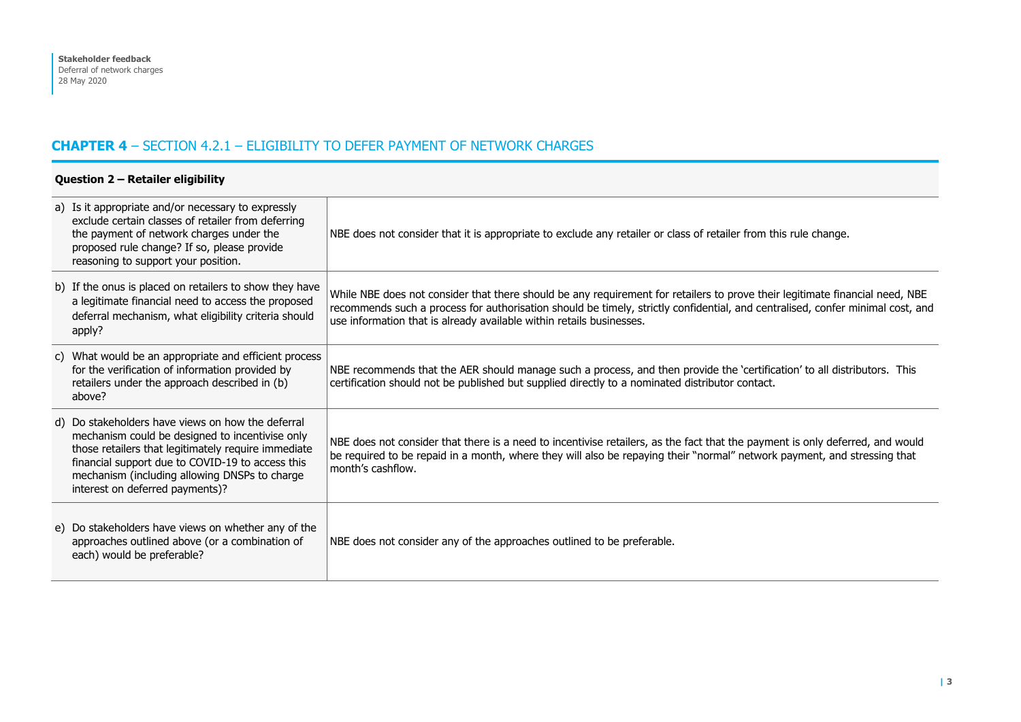# **CHAPTER 4** – SECTION 4.2.1 – ELIGIBILITY TO DEFER PAYMENT OF NETWORK CHARGES

| Question 2 - Retailer eligibility |                                                                                                                                                                                                                                                                                                     |                                                                                                                                                                                                                                                                                                                                        |
|-----------------------------------|-----------------------------------------------------------------------------------------------------------------------------------------------------------------------------------------------------------------------------------------------------------------------------------------------------|----------------------------------------------------------------------------------------------------------------------------------------------------------------------------------------------------------------------------------------------------------------------------------------------------------------------------------------|
|                                   | a) Is it appropriate and/or necessary to expressly<br>exclude certain classes of retailer from deferring<br>the payment of network charges under the<br>proposed rule change? If so, please provide<br>reasoning to support your position.                                                          | NBE does not consider that it is appropriate to exclude any retailer or class of retailer from this rule change.                                                                                                                                                                                                                       |
|                                   | b) If the onus is placed on retailers to show they have<br>a legitimate financial need to access the proposed<br>deferral mechanism, what eligibility criteria should<br>apply?                                                                                                                     | While NBE does not consider that there should be any requirement for retailers to prove their legitimate financial need, NBE<br>recommends such a process for authorisation should be timely, strictly confidential, and centralised, confer minimal cost, and<br>use information that is already available within retails businesses. |
|                                   | c) What would be an appropriate and efficient process<br>for the verification of information provided by<br>retailers under the approach described in (b)<br>above?                                                                                                                                 | NBE recommends that the AER should manage such a process, and then provide the 'certification' to all distributors. This<br>certification should not be published but supplied directly to a nominated distributor contact.                                                                                                            |
|                                   | d) Do stakeholders have views on how the deferral<br>mechanism could be designed to incentivise only<br>those retailers that legitimately require immediate<br>financial support due to COVID-19 to access this<br>mechanism (including allowing DNSPs to charge<br>interest on deferred payments)? | NBE does not consider that there is a need to incentivise retailers, as the fact that the payment is only deferred, and would<br>be required to be repaid in a month, where they will also be repaying their "normal" network payment, and stressing that<br>month's cashflow.                                                         |
|                                   | e) Do stakeholders have views on whether any of the<br>approaches outlined above (or a combination of<br>each) would be preferable?                                                                                                                                                                 | NBE does not consider any of the approaches outlined to be preferable.                                                                                                                                                                                                                                                                 |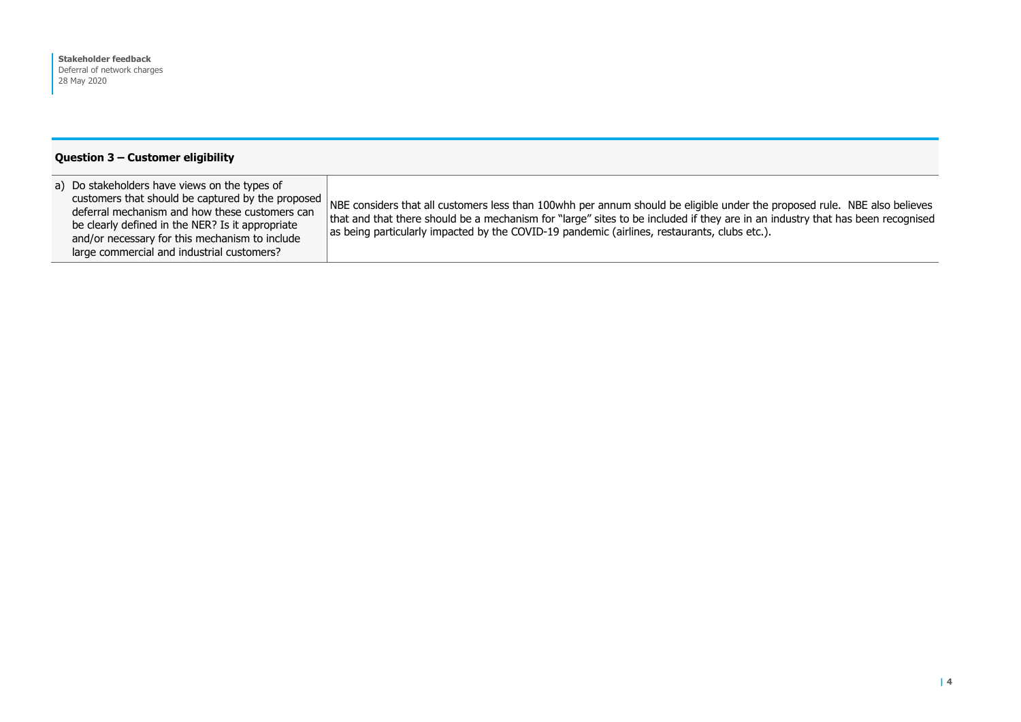#### **Question 3 – Customer eligibility**

| a) Do stakeholders have views on the types of<br>customers that should be captured by the proposed<br>deferral mechanism and how these customers can<br>be clearly defined in the NER? Is it appropriate<br>and/or necessary for this mechanism to include<br>large commercial and industrial customers? | NBE considers that all customers less than 100whh per annum should be eligible under the proposed rule. NBE also believes<br>that and that there should be a mechanism for "large" sites to be included if they are in an industry that has been recognised<br>as being particularly impacted by the COVID-19 pandemic (airlines, restaurants, clubs etc.). |
|----------------------------------------------------------------------------------------------------------------------------------------------------------------------------------------------------------------------------------------------------------------------------------------------------------|-------------------------------------------------------------------------------------------------------------------------------------------------------------------------------------------------------------------------------------------------------------------------------------------------------------------------------------------------------------|
|----------------------------------------------------------------------------------------------------------------------------------------------------------------------------------------------------------------------------------------------------------------------------------------------------------|-------------------------------------------------------------------------------------------------------------------------------------------------------------------------------------------------------------------------------------------------------------------------------------------------------------------------------------------------------------|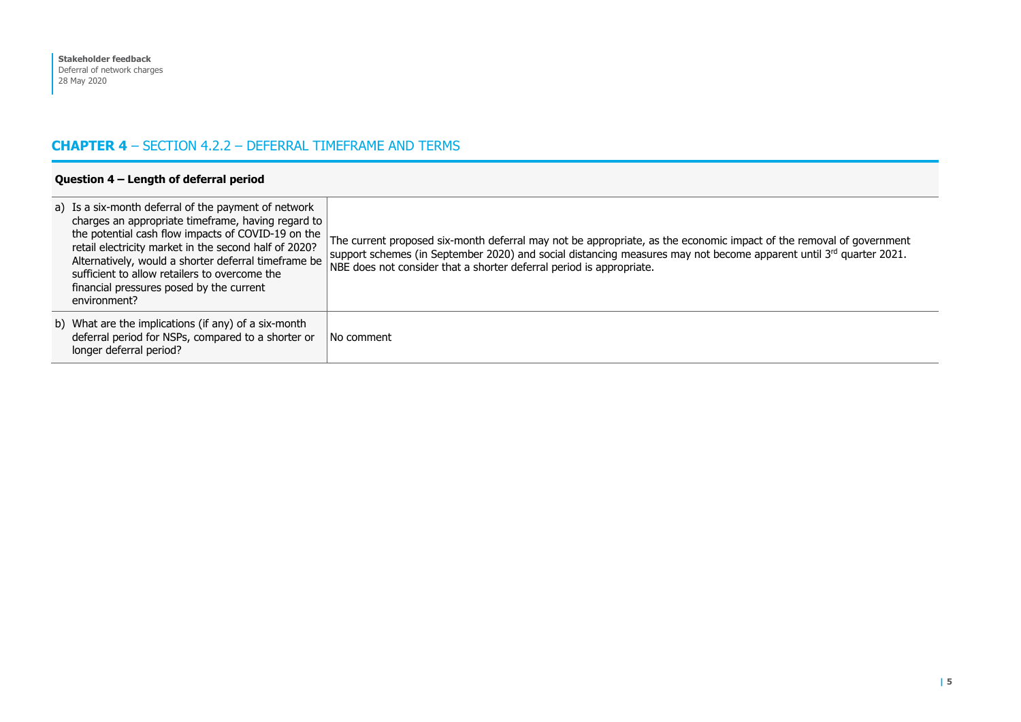# **CHAPTER 4** – SECTION 4.2.2 – DEFERRAL TIMEFRAME AND TERMS

| Question $4$ – Length of deferral period                                                                                                                                                                                                                                                                                                                                                       |                                                                                                                                                                                                                                                                                                                   |  |
|------------------------------------------------------------------------------------------------------------------------------------------------------------------------------------------------------------------------------------------------------------------------------------------------------------------------------------------------------------------------------------------------|-------------------------------------------------------------------------------------------------------------------------------------------------------------------------------------------------------------------------------------------------------------------------------------------------------------------|--|
| a) Is a six-month deferral of the payment of network<br>charges an appropriate timeframe, having regard to<br>the potential cash flow impacts of COVID-19 on the<br>retail electricity market in the second half of 2020?<br>Alternatively, would a shorter deferral timeframe be<br>sufficient to allow retailers to overcome the<br>financial pressures posed by the current<br>environment? | The current proposed six-month deferral may not be appropriate, as the economic impact of the removal of government<br>support schemes (in September 2020) and social distancing measures may not become apparent until 3rd quarter 2021.<br>NBE does not consider that a shorter deferral period is appropriate. |  |
| b) What are the implications (if any) of a six-month<br>deferral period for NSPs, compared to a shorter or<br>longer deferral period?                                                                                                                                                                                                                                                          | l No comment                                                                                                                                                                                                                                                                                                      |  |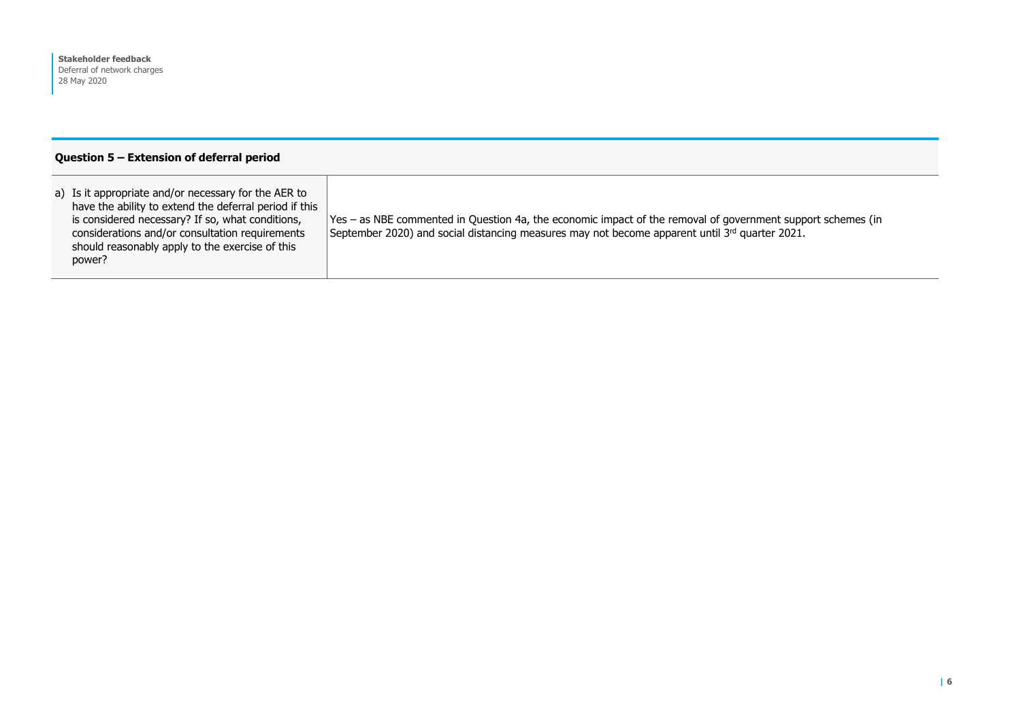#### **Question 5 – Extension of deferral period**

| a) Is it appropriate and/or necessary for the AER to<br>have the ability to extend the deferral period if this<br>is considered necessary? If so, what conditions,<br>considerations and/or consultation requirements<br>should reasonably apply to the exercise of this<br>power? | Yes – as NBE commented in Question 4a, the economic impact of the removal of government support schemes (in<br>September 2020) and social distancing measures may not become apparent until $3^{rd}$ quarter 2021. |
|------------------------------------------------------------------------------------------------------------------------------------------------------------------------------------------------------------------------------------------------------------------------------------|--------------------------------------------------------------------------------------------------------------------------------------------------------------------------------------------------------------------|
|------------------------------------------------------------------------------------------------------------------------------------------------------------------------------------------------------------------------------------------------------------------------------------|--------------------------------------------------------------------------------------------------------------------------------------------------------------------------------------------------------------------|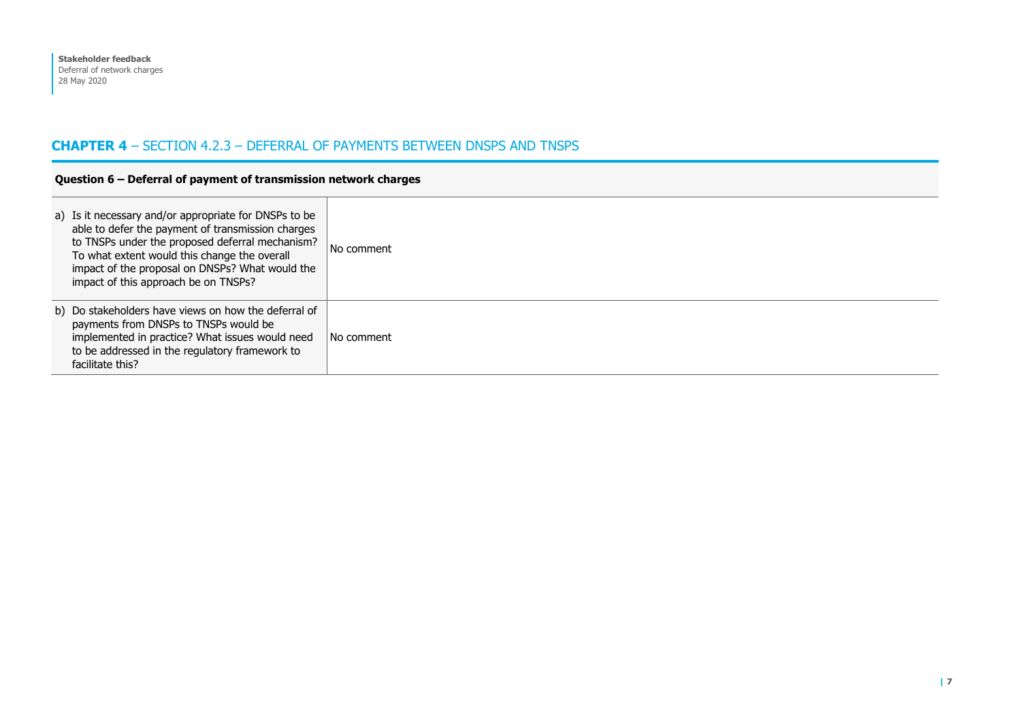## **CHAPTER 4** – SECTION 4.2.3 – DEFERRAL OF PAYMENTS BETWEEN DNSPS AND TNSPS

#### **Question 6 – Deferral of payment of transmission network charges**

| a) Is it necessary and/or appropriate for DNSPs to be<br>able to defer the payment of transmission charges<br>to TNSPs under the proposed deferral mechanism?<br>To what extent would this change the overall<br>impact of the proposal on DNSPs? What would the<br>impact of this approach be on TNSPs? | No comment |
|----------------------------------------------------------------------------------------------------------------------------------------------------------------------------------------------------------------------------------------------------------------------------------------------------------|------------|
| b) Do stakeholders have views on how the deferral of<br>payments from DNSPs to TNSPs would be<br>implemented in practice? What issues would need<br>to be addressed in the regulatory framework to<br>facilitate this?                                                                                   | No comment |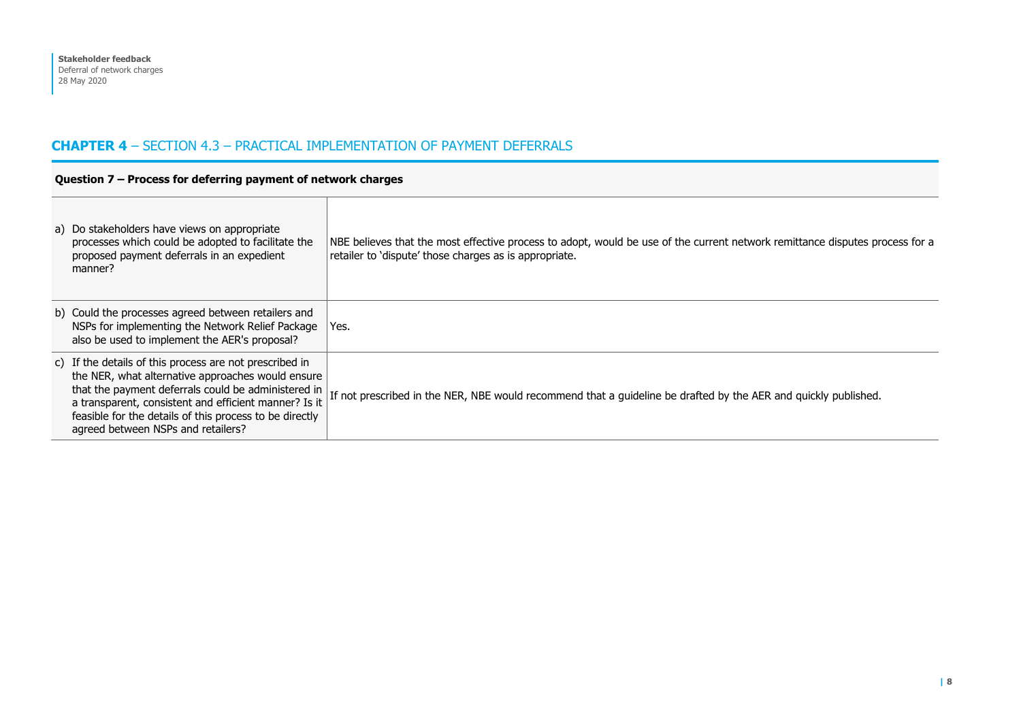## **CHAPTER 4** – SECTION 4.3 – PRACTICAL IMPLEMENTATION OF PAYMENT DEFERRALS

#### **Question 7 – Process for deferring payment of network charges**

| a) Do stakeholders have views on appropriate<br>processes which could be adopted to facilitate the<br>proposed payment deferrals in an expedient<br>manner?                                                                                                                                                                   | NBE believes that the most effective process to adopt, would be use of the current network remittance disputes process for a<br>retailer to 'dispute' those charges as is appropriate. |
|-------------------------------------------------------------------------------------------------------------------------------------------------------------------------------------------------------------------------------------------------------------------------------------------------------------------------------|----------------------------------------------------------------------------------------------------------------------------------------------------------------------------------------|
| b) Could the processes agreed between retailers and<br>NSPs for implementing the Network Relief Package<br>also be used to implement the AER's proposal?                                                                                                                                                                      | Yes.                                                                                                                                                                                   |
| c) If the details of this process are not prescribed in<br>the NER, what alternative approaches would ensure<br>that the payment deferrals could be administered in<br>a transparent, consistent and efficient manner? Is it<br>feasible for the details of this process to be directly<br>agreed between NSPs and retailers? | If not prescribed in the NER, NBE would recommend that a guideline be drafted by the AER and quickly published.                                                                        |